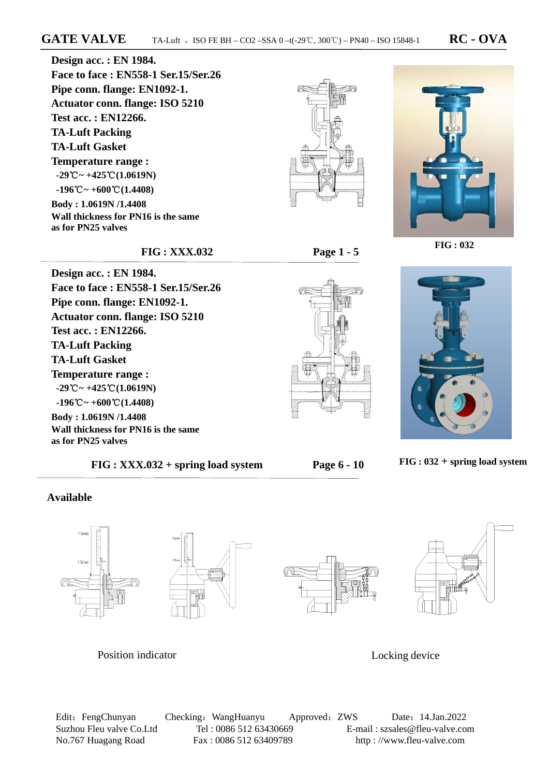**FIG : XXX.032 Page 1 - 5** 

**Design acc. : EN 1984. Face to face : EN558-1 Ser.15/Ser.26 Pipe conn. flange: EN1092-1. Actuator conn. flange: ISO 5210 Test acc. : EN12266. TA-Luft Packing TA-Luft Gasket Temperature range : -29**℃**~ +425**℃**(1.0619N) -196**℃**~ +600**℃**(1.4408) Body : 1.0619N /1.4408 Wall thickness for PN16 is the same as for PN25 valves** 

**Face to face : EN558-1 Ser.15/Ser.26** 

**Pipe conn. flange: EN1092-1. Actuator conn. flange: ISO 5210** 

**Wall thickness for PN16 is the same** 

**Design acc. : EN 1984.** 

**Test acc. : EN12266. TA-Luft Packing TA-Luft Gasket** 

**Temperature range : -29**℃**~ +425**℃**(1.0619N) -196**℃**~ +600**℃**(1.4408) Body : 1.0619N /1.4408** 

**as for PN25 valves**











 **FIG : XXX.032 + spring load system Page 6 - 10** 

 **FIG : 032 + spring load system** 

## **Available**



## Position indicator Locking device

Edit: FengChunyan Checking: WangHuanyu Approved: ZWS Date: 14.Jan.2022 Suzhou Fleu valve Co.Ltd Tel : 0086 512 63430669 E-mail : szsales@fleu-valve.com No.767 Huagang Road Fax : 0086 512 63409789 http : //www.fleu-valve.com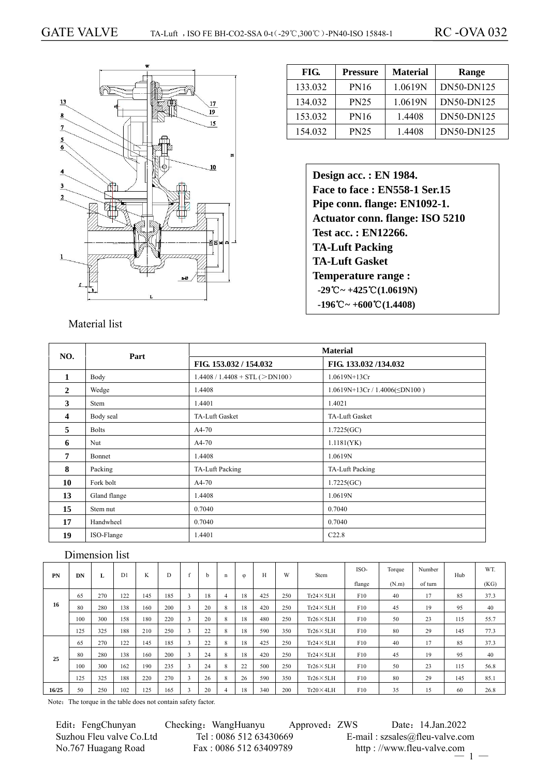

# **FIG. Pressure Material Range**  133.032 | PN16 | 1.0619N | DN50-DN125 134.032 PN25 1.0619N DN50-DN125 153.032 PN16 1.4408 DN50-DN125 154.032 PN25 1.4408 DN50-DN125

**Design acc. : EN 1984. Face to face : EN558-1 Ser.15 Pipe conn. flange: EN1092-1. Actuator conn. flange: ISO 5210 Test acc. : EN12266. TA-Luft Packing TA-Luft Gasket Temperature range : -29**℃**~ +425**℃**(1.0619N) -196**℃**~ +600**℃**(1.4408)** 

### Material list

| NO.                     | Part         |                                  | <b>Material</b>                   |
|-------------------------|--------------|----------------------------------|-----------------------------------|
|                         |              | FIG. 153.032 / 154.032           | FIG. 133.032/134.032              |
| $\mathbf{1}$            | Body         | $1.4408 / 1.4408 + STL (>DN100)$ | $1.0619N+13Cr$                    |
| $\overline{2}$          | Wedge        | 1.4408                           | $1.0619N+13Cr/1.4006(\leq DN100)$ |
| 3                       | Stem         | 1.4401                           | 1.4021                            |
| $\overline{\mathbf{4}}$ | Body seal    | <b>TA-Luft Gasket</b>            | <b>TA-Luft Gasket</b>             |
| 5                       | <b>Bolts</b> | A4-70                            | 1.7225(GC)                        |
| 6                       | Nut          | A4-70                            | 1.1181(YK)                        |
| $\overline{7}$          | Bonnet       | 1.4408                           | 1.0619N                           |
| 8                       | Packing      | TA-Luft Packing                  | TA-Luft Packing                   |
| 10                      | Fork bolt    | A4-70                            | 1.7225(GC)                        |
| 13                      | Gland flange | 1.4408                           | 1.0619N                           |
| 15                      | Stem nut     | 0.7040                           | 0.7040                            |
| 17                      | Handwheel    | 0.7040                           | 0.7040                            |
| 19                      | ISO-Flange   | 1.4401                           | C22.8                             |

### Dimension list

| PN    | DN  | L   | D <sub>1</sub> | K   | D   |               | h  | n              | $\varphi$ | Н   | W   | Stem              | ISO-   | Torque | Number  | Hub | WT.  |
|-------|-----|-----|----------------|-----|-----|---------------|----|----------------|-----------|-----|-----|-------------------|--------|--------|---------|-----|------|
|       |     |     |                |     |     |               |    |                |           |     |     |                   | flange | (N.m)  | of turn |     | (KG) |
|       | 65  | 270 | 122            | 145 | 185 |               | 18 | $\overline{4}$ | 18        | 425 | 250 | $Tr24 \times 5LH$ | F10    | 40     | 17      | 85  | 37.3 |
| 16    | 80  | 280 | 138            | 160 | 200 | 3             | 20 | 8              | 18        | 420 | 250 | $Tr24 \times 5LH$ | F10    | 45     | 19      | 95  | 40   |
|       | 100 | 300 | 158            | 180 | 220 | 3             | 20 | 8              | 18        | 480 | 250 | $Tr26 \times 5LH$ | F10    | 50     | 23      | 115 | 55.7 |
|       | 125 | 325 | 188            | 210 | 250 | $\rightarrow$ | 22 | 8              | 18        | 590 | 350 | $Tr26 \times 5LH$ | F10    | 80     | 29      | 145 | 77.3 |
|       | 65  | 270 | 122            | 145 | 185 | $\rightarrow$ | 22 | 8              | 18        | 425 | 250 | $Tr24 \times 5LH$ | F10    | 40     | 17      | 85  | 37.3 |
| 25    | 80  | 280 | 138            | 160 | 200 | $\rightarrow$ | 24 | 8              | 18        | 420 | 250 | $Tr24 \times 5LH$ | F10    | 45     | 19      | 95  | 40   |
|       | 100 | 300 | 162            | 190 | 235 |               | 24 | 8              | 22        | 500 | 250 | $Tr26 \times 5LH$ | F10    | 50     | 23      | 115 | 56.8 |
|       | 125 | 325 | 188            | 220 | 270 |               | 26 | 8              | 26        | 590 | 350 | $Tr26 \times 5LH$ | F10    | 80     | 29      | 145 | 85.1 |
| 16/25 | 50  | 250 | 102            | 125 | 165 |               | 20 | 4              | 18        | 340 | 200 | $Tr20\times4LH$   | F10    | 35     | 15      | 60  | 26.8 |

Note: The torque in the table does not contain safety factor.

No.767 Huagang Road Fax : 0086 512 63409789 http : //www.fleu-valve.com

Edit: FengChunyan Checking: WangHuanyu Approved: ZWS Date: 14.Jan.2022 Suzhou Fleu valve Co.Ltd Tel : 0086 512 63430669 E-mail : szsales@fleu-valve.com  $-1 -$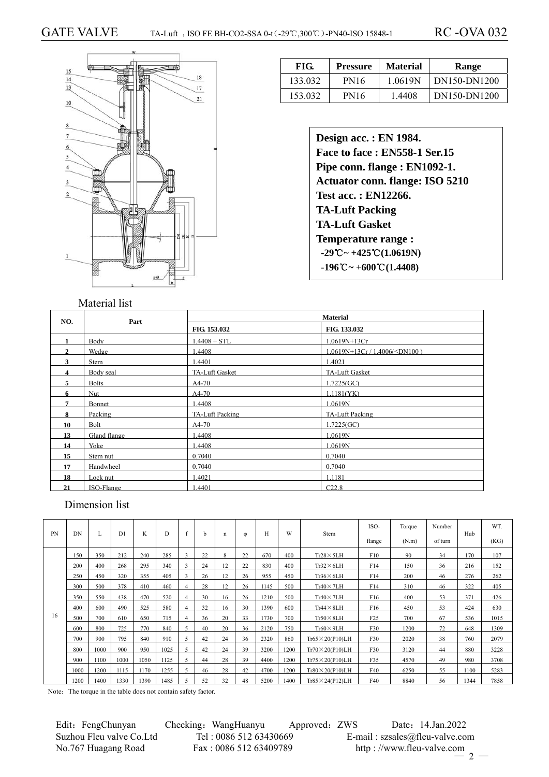

## **FIG. Pressure Material Range**  133.032 | PN16 | 1.0619N | DN150-DN1200 153.032 | PN16 | 1.4408 | DN150-DN1200

| Design acc.: EN 1984.                                             |
|-------------------------------------------------------------------|
| Face to face: EN558-1 Ser.15                                      |
| Pipe conn. flange : EN1092-1.                                     |
| <b>Actuator conn. flange: ISO 5210</b>                            |
| <b>Test acc.: EN12266.</b>                                        |
| <b>TA-Luft Packing</b>                                            |
| <b>TA-Luft Gasket</b>                                             |
| <b>Temperature range:</b>                                         |
| $-29^{\circ}\text{C} \sim +425^{\circ}\text{C} (1.0619 \text{N})$ |
| $-196^{\circ}\text{C} \sim +600^{\circ}\text{C} (1.4408)$         |

### Material list

| NO.          | Part         |                        | <b>Material</b>               |
|--------------|--------------|------------------------|-------------------------------|
|              |              | FIG. 153.032           | FIG. 133.032                  |
| $\mathbf{1}$ | <b>Body</b>  | $1.4408 + STL$         | 1.0619N+13Cr                  |
| $\gamma$     | Wedge        | .4408                  | 1.0619N+13Cr / 1.4006(≤DN100) |
| 3            | Stem         | 1.4401                 | 1.4021                        |
| 4            | Body seal    | TA-Luft Gasket         | TA-Luft Gasket                |
|              | <b>Bolts</b> | $A4-70$                | 1.7225(GC)                    |
| 6            | Nut          | $A4-70$                | 1.1181(YK)                    |
| 7            | Bonnet       | 1.4408                 | 1.0619N                       |
| 8            | Packing      | <b>TA-Luft Packing</b> | <b>TA-Luft Packing</b>        |
| 10           | Bolt         | $A4-70$                | 1.7225(GC)                    |
| 13           | Gland flange | .4408                  | 1.0619N                       |
| 14           | Yoke         | 1.4408                 | 1.0619N                       |
| 15           | Stem nut     | 0.7040                 | 0.7040                        |
| 17           | Handwheel    | 0.7040                 | 0.7040                        |
| 18           | Lock nut     | 1.4021                 | 1.1181                        |
| 21           | ISO-Flange   | .4401                  | C22.8                         |

## Dimension list

| <b>PN</b> | DN   | L    | D1   | K    | D    |   | h. | n  | φ  | Н    | W    | Stem                     | ISO-            | Torque | Number  | Hub  | WT.  |
|-----------|------|------|------|------|------|---|----|----|----|------|------|--------------------------|-----------------|--------|---------|------|------|
|           |      |      |      |      |      |   |    |    |    |      |      |                          | flange          | (N.m)  | of turn |      | (KG) |
|           | 150  | 350  | 212  | 240  | 285  |   | 22 | 8  | 22 | 670  | 400  | $Tr28 \times 5LH$        | F10             | 90     | 34      | 170  | 107  |
|           | 200  | 400  | 268  | 295  | 340  |   | 24 | 12 | 22 | 830  | 400  | $Tr32\times 6LH$         | F14             | 150    | 36      | 216  | 152  |
|           | 250  | 450  | 320  | 355  | 405  |   | 26 | 12 | 26 | 955  | 450  | $Tr36\times 6LH$         | F14             | 200    | 46      | 276  | 262  |
|           | 300  | 500  | 378  | 410  | 460  |   | 28 | 12 | 26 | 1145 | 500  | $Tr40 \times 7LH$        | F14             | 310    | 46      | 322  | 405  |
|           | 350  | 550  | 438  | 470  | 520  |   | 30 | 16 | 26 | 1210 | 500  | $Tr40 \times 7LH$        | F <sub>16</sub> | 400    | 53      | 371  | 426  |
|           | 400  | 600  | 490  | 525  | 580  |   | 32 | 16 | 30 | 1390 | 600  | $Tr44 \times 8LH$        | F <sub>16</sub> | 450    | 53      | 424  | 630  |
| 16        | 500  | 700  | 610  | 650  | 715  |   | 36 | 20 | 33 | 1730 | 700  | $Tr50 \times 8LH$        | F25             | 700    | 67      | 536  | 1015 |
|           | 600  | 800  | 725  | 770  | 840  |   | 40 | 20 | 36 | 2120 | 750  | $Tr60 \times 9LH$        | F30             | 1200   | 72      | 648  | 1309 |
|           | 700  | 900  | 795  | 840  | 910  |   | 42 | 24 | 36 | 2320 | 860  | $Tr65 \times 20($ P10)LH | F30             | 2020   | 38      | 760  | 2079 |
|           | 800  | 1000 | 900  | 950  | 1025 |   | 42 | 24 | 39 | 3200 | 1200 | $Tr70 \times 20($ P10)LH | F30             | 3120   | 44      | 880  | 3228 |
|           | 900  | 1100 | 1000 | 1050 | 1125 | 5 | 44 | 28 | 39 | 4400 | 1200 | $Tr75 \times 20$ (P10)LH | F35             | 4570   | 49      | 980  | 3708 |
|           | 1000 | 1200 | 1115 | 1170 | 1255 |   | 46 | 28 | 42 | 4700 | 1200 | $Tr80 \times 20($ P10)LH | F40             | 6250   | 55      | 1100 | 5283 |
|           | 1200 | 1400 | 1330 | 1390 | 1485 |   | 52 | 32 | 48 | 5200 | 1400 | $Tr85 \times 24$ (P12)LH | F40             | 8840   | 56      | 1344 | 7858 |

Note: The torque in the table does not contain safety factor.

 Edit:FengChunyan Checking:WangHuanyu Approved:ZWS Date:14.Jan.2022 Suzhou Fleu valve Co.Ltd Tel : 0086 512 63430669 E-mail : szsales@fleu-valve.com<br>No.767 Huagang Road Fax : 0086 512 63409789 http : //www.fleu-valve.com No.767 Huagang Road Fax : 0086 512 63409789 http : //www.fleu-valve.com

 $-2-$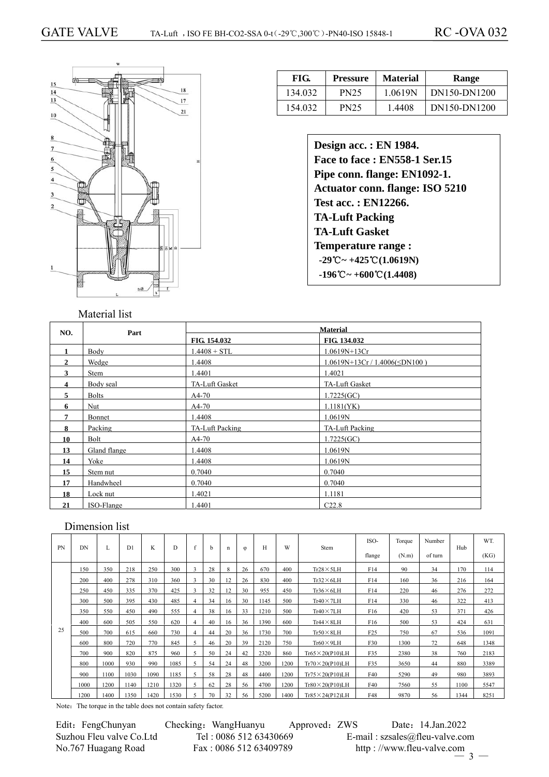

| FIG.    | <b>Pressure</b> | <b>Material</b> | Range        |
|---------|-----------------|-----------------|--------------|
| 134.032 | <b>PN25</b>     | 1.0619N         | DN150-DN1200 |
| 154.032 | <b>PN25</b>     | 1.4408          | DN150-DN1200 |

**Design acc. : EN 1984. Face to face : EN558-1 Ser.15 Pipe conn. flange: EN1092-1. Actuator conn. flange: ISO 5210 Test acc. : EN12266. TA-Luft Packing TA-Luft Gasket Temperature range : -29**℃**~ +425**℃**(1.0619N) -196**℃**~ +600**℃**(1.4408)** 

#### **Material NO. Part FIG. 154.032 FIG. 134.032** 1 **Body** 1.4408 + STL 1.0619N+13Cr **2 1.4408** 1.4408 **1.0619N+13Cr** / 1.4406(≤DN100) **3** Stem 1.4401 1.4021 **4** Body seal TA-Luft Gasket TA-Luft Gasket TA-Luft Gasket **5** Bolts A4-70 1.7225(GC) **6** Nut A4-70 1.1181(YK) **7 Bonnet** 1.4408 1.0619N **8** Packing TA-Luft Packing TA-Luft Packing TA-Luft Packing **10** Bolt A4-70 1.7225(GC) **13 Gland flange** 1.4408 1.0619N **14** Yoke 1.4408 1.460 1.0619N **15** Ste<u>m nut 0.7040</u> 0.7040 0.7040 **17 Handwheel 0.7040 0.7040 0.7040 18** Lock nut 1.4021 1.1181 **21** ISO-Flange 1.4401 C22.8

### Dimension list

| <b>PN</b> | DN   |      | D <sub>1</sub> | K    | D    |   | h  | n  | $\omega$ | Н    | W    | Stem                      | ISO-<br>flange  | Torque<br>(N.m) | Number<br>of turn | Hub  | WT.<br>(KG) |
|-----------|------|------|----------------|------|------|---|----|----|----------|------|------|---------------------------|-----------------|-----------------|-------------------|------|-------------|
|           | 150  | 350  | 218            | 250  | 300  | 3 | 28 | 8  | 26       | 670  | 400  | $Tr28 \times 5LH$         | F14             | 90              | 34                | 170  | 114         |
|           | 200  | 400  | 278            | 310  | 360  |   | 30 | 12 | 26       | 830  | 400  | $Tr32\times 6LH$          | F14             | 160             | 36                | 216  | 164         |
|           | 250  | 450  | 335            | 370  | 425  |   | 32 | 12 | 30       | 955  | 450  | $Tr36\times 6LH$          | F14             | 220             | 46                | 276  | 272         |
|           | 300  | 500  | 395            | 430  | 485  | 4 | 34 | 16 | 30       | 1145 | 500  | $Tr40 \times 7LH$         | F14             | 330             | 46                | 322  | 413         |
|           | 350  | 550  | 450            | 490  | 555  | 4 | 38 | 16 | 33       | 1210 | 500  | $Tr40 \times 7LH$         | F <sub>16</sub> | 420             | 53                | 371  | 426         |
|           | 400  | 600  | 505            | 550  | 620  | 4 | 40 | 16 | 36       | 1390 | 600  | $Tr44 \times 8LH$         | F <sub>16</sub> | 500             | 53                | 424  | 631         |
| 25        | 500  | 700  | 615            | 660  | 730  | 4 | 44 | 20 | 36       | 1730 | 700  | $Tr50 \times 8LH$         | F25             | 750             | 67                | 536  | 1091        |
|           | 600  | 800  | 720            | 770  | 845  |   | 46 | 20 | 39       | 2120 | 750  | $Tr60 \times 9LH$         | F30             | 1300            | 72                | 648  | 1348        |
|           | 700  | 900  | 820            | 875  | 960  |   | 50 | 24 | 42       | 2320 | 860  | $Tr65 \times 20(P10) LH$  | F35             | 2380            | 38                | 760  | 2183        |
|           | 800  | 1000 | 930            | 990  | 1085 |   | 54 | 24 | 48       | 3200 | 1200 | $Tr70 \times 20 (P10) LH$ | F35             | 3650            | 44                | 880  | 3389        |
|           | 900  | 1100 | 1030           | 1090 | 1185 | 5 | 58 | 28 | 48       | 4400 | 1200 | $Tr75 \times 20($ P10)LH  | F40             | 5290            | 49                | 980  | 3893        |
|           | 1000 | 1200 | 1140           | 1210 | 1320 |   | 62 | 28 | 56       | 4700 | 1200 | $Tr80 \times 20($ P10)LH  | F40             | 7560            | 55                | 1100 | 5547        |
|           | 1200 | 1400 | 1350           | 1420 | 1530 |   | 70 | 32 | 56       | 5200 | 1400 | $Tr85 \times 24($ P12)LH  | F48             | 9870            | 56                | 1344 | 8251        |

Note: The torque in the table does not contain safety factor.

| Edit: FengChunyan        | Ch@ |
|--------------------------|-----|
| Suzhou Fleu valve Co.Ltd |     |
| No.767 Huagang Road      |     |

ecking: WangHuanyu Approved: ZWS Date: 14.Jan.2022 Tel :  $0.086$  512 63430669 E-mail : szsales@fleu-valve.com Fax : 0086 512 63409789 http : //www.fleu-valve.com  $\frac{1}{3}$  —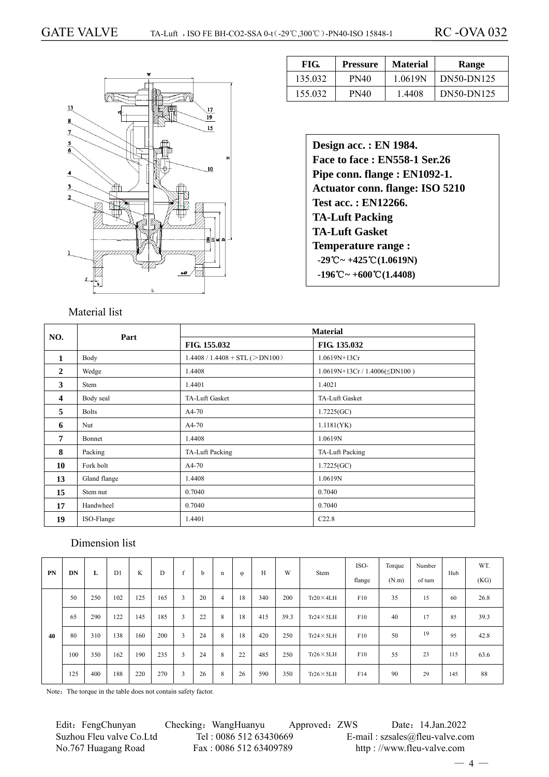

| FIG.    | <b>Pressure</b> | <b>Material</b> | Range      |
|---------|-----------------|-----------------|------------|
| 135.032 | <b>PN40</b>     | 1.0619N         | DN50-DN125 |
| 155.032 | PN40            | 1.4408          | DN50-DN125 |

| Design acc.: EN 1984.                                           |
|-----------------------------------------------------------------|
| Face to face: EN558-1 Ser.26                                    |
| Pipe conn. flange : EN1092-1.                                   |
| <b>Actuator conn. flange: ISO 5210</b>                          |
| <b>Test acc. : EN12266.</b>                                     |
| <b>TA-Luft Packing</b>                                          |
| <b>TA-Luft Gasket</b>                                           |
| <b>Temperature range:</b>                                       |
| $-29^{\circ}\text{C} \sim +425^{\circ}\text{C}(1.0619\text{N})$ |
| $-196^{\circ}\text{C} \sim +600^{\circ}\text{C} (1.4408)$       |

| NO.                     | Part         |                                  | <b>Material</b>                   |  |  |  |  |
|-------------------------|--------------|----------------------------------|-----------------------------------|--|--|--|--|
|                         |              | FIG. 155.032                     | FIG. 135.032                      |  |  |  |  |
| $\mathbf{1}$            | Body         | $1.4408 / 1.4408 + STL (>DN100)$ | 1.0619N+13Cr                      |  |  |  |  |
| $\mathbf{2}$            | Wedge        | 1.4408                           | $1.0619N+13Cr/1.4006(\leq DN100)$ |  |  |  |  |
| 3                       | Stem         | 1.4401                           | 1.4021                            |  |  |  |  |
| $\overline{\mathbf{4}}$ | Body seal    | TA-Luft Gasket                   | TA-Luft Gasket                    |  |  |  |  |
| 5                       | <b>Bolts</b> | A4-70                            | 1.7225(GC)                        |  |  |  |  |
| 6                       | Nut          | $A4-70$                          | 1.1181(YK)                        |  |  |  |  |
| 7                       | Bonnet       | 1.4408                           | 1.0619N                           |  |  |  |  |
| 8                       | Packing      | TA-Luft Packing                  | TA-Luft Packing                   |  |  |  |  |
| 10                      | Fork bolt    | A4-70                            | 1.7225(GC)                        |  |  |  |  |
| 13                      | Gland flange | 1.4408                           | 1.0619N                           |  |  |  |  |
| 15                      | Stem nut     | 0.7040                           | 0.7040                            |  |  |  |  |
| 17                      | Handwheel    | 0.7040                           | 0.7040                            |  |  |  |  |
| 19                      | ISO-Flange   | 1.4401                           | C22.8                             |  |  |  |  |

## Dimension list

| <b>PN</b> | DN  | L   | D1  | K   | D   | c              | b  | n | $\varphi$ | Н   | W    | Stem              | ISO-<br>flange | Torque<br>(N.m) | Number<br>of turn | Hub | WT.<br>(KG) |
|-----------|-----|-----|-----|-----|-----|----------------|----|---|-----------|-----|------|-------------------|----------------|-----------------|-------------------|-----|-------------|
|           | 50  | 250 | 102 | 125 | 165 | 3              | 20 | 4 | 18        | 340 | 200  | $Tr20 \times 4LH$ | F10            | 35              | 15                | 60  | 26.8        |
|           | 65  | 290 | 122 | 145 | 185 | 3              | 22 | 8 | 18        | 415 | 39.3 | $Tr24 \times 5LH$ | F10            | 40              | 17                | 85  | 39.3        |
| 40        | 80  | 310 | 138 | 160 | 200 | $\overline{3}$ | 24 | 8 | 18        | 420 | 250  | $Tr24 \times 5LH$ | F10            | 50              | 19                | 95  | 42.8        |
|           | 100 | 350 | 162 | 190 | 235 | 3              | 24 | 8 | 22        | 485 | 250  | $Tr26 \times 5LH$ | F10            | 55              | 23                | 115 | 63.6        |
|           | 125 | 400 | 188 | 220 | 270 | 3              | 26 | 8 | 26        | 590 | 350  | $Tr26 \times 5LH$ | F14            | 90              | 29                | 145 | 88          |

Note: The torque in the table does not contain safety factor.

Edit: FengChunyan Checking: WangHuanyu Approved: ZWS Date: 14.Jan.2022 Suzhou Fleu valve Co.Ltd Tel : 0086 512 63430669 E-mail : szsales@fleu-valve.com No.767 Huagang Road Fax : 0086 512 63409789 http : //www.fleu-valve.com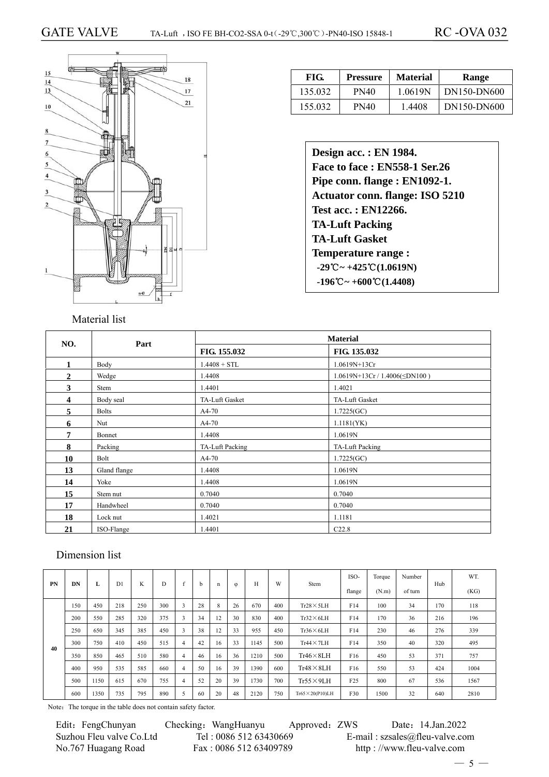

| FIG.    | Pressure | <b>Material</b> | Range       |  |  |
|---------|----------|-----------------|-------------|--|--|
| 135.032 | PN40     | 1.0619N         | DN150-DN600 |  |  |
| 155.032 | PN40     | 1.4408          | DN150-DN600 |  |  |

| Design acc. : EN 1984.                                            |
|-------------------------------------------------------------------|
| Face to face: EN558-1 Ser.26                                      |
| Pipe conn. flange : EN1092-1.                                     |
| <b>Actuator conn. flange: ISO 5210</b>                            |
| Test acc.: EN12266.                                               |
| <b>TA-Luft Packing</b>                                            |
| <b>TA-Luft Gasket</b>                                             |
| <b>Temperature range:</b>                                         |
| $-29^{\circ}\text{C} \sim +425^{\circ}\text{C} (1.0619 \text{N})$ |
| $-196^{\circ}\text{C} \sim +600^{\circ}\text{C} (1.4408)$         |

|              |              |                 | <b>Material</b>                   |
|--------------|--------------|-----------------|-----------------------------------|
| NO.          | Part         | FIG. 155.032    | FIG. 135.032                      |
| 1            | Body         | $1.4408 + STL$  | 1.0619N+13Cr                      |
| $\mathbf{2}$ | Wedge        | 1.4408          | $1.0619N+13Cr/1.4006(\leq DN100)$ |
| 3            | Stem         | 1.4401          | 1.4021                            |
| 4            | Body seal    | TA-Luft Gasket  | TA-Luft Gasket                    |
| 5            | <b>Bolts</b> | $A4-70$         | 1.7225(GC)                        |
| 6            | Nut          | $A4-70$         | 1.1181(YK)                        |
| 7            | Bonnet       | 1.4408          | 1.0619N                           |
| 8            | Packing      | TA-Luft Packing | TA-Luft Packing                   |
| 10           | Bolt         | A4-70           | 1.7225(GC)                        |
| 13           | Gland flange | 1.4408          | 1.0619N                           |
| 14           | Yoke         | 1.4408          | 1.0619N                           |
| 15           | Stem nut     | 0.7040          | 0.7040                            |
| 17           | Handwheel    | 0.7040          | 0.7040                            |
| 18           | Lock nut     | 1.4021          | 1.1181                            |
| 21           | ISO-Flange   | 1.4401          | C22.8                             |

## Dimension list

| PN | DN  |      | D <sub>1</sub> | K   | D   | c                        |    |    |           | Н    | W   | Stem                      | ISO-            | Torque | Number  | Hub | WT.  |
|----|-----|------|----------------|-----|-----|--------------------------|----|----|-----------|------|-----|---------------------------|-----------------|--------|---------|-----|------|
|    |     | L    |                |     |     |                          | h. | n  | $\varphi$ |      |     |                           | flange          | (N.m)  | of turn |     | (KG) |
|    | 150 | 450  | 218            | 250 | 300 | 3                        | 28 | 8  | 26        | 670  | 400 | $Tr28 \times 5LH$         | F14             | 100    | 34      | 170 | 118  |
|    | 200 | 550  | 285            | 320 | 375 | $\sim$<br>$\mathfrak{p}$ | 34 | 12 | 30        | 830  | 400 | $Tr32\times 6LH$          | F14             | 170    | 36      | 216 | 196  |
|    | 250 | 650  | 345            | 385 | 450 | $\overline{\mathbf{3}}$  | 38 | 12 | 33        | 955  | 450 | $Tr36\times 6LH$          | F14             | 230    | 46      | 276 | 339  |
| 40 | 300 | 750  | 410            | 450 | 515 | 4                        | 42 | 16 | 33        | 1145 | 500 | $Tr44 \times 7LH$         | F14             | 350    | 40      | 320 | 495  |
|    | 350 | 850  | 465            | 510 | 580 | 4                        | 46 | 16 | 36        | 1210 | 500 | $Tr46 \times 8LH$         | F <sub>16</sub> | 450    | 53      | 371 | 757  |
|    | 400 | 950  | 535            | 585 | 660 | 4                        | 50 | 16 | 39        | 1390 | 600 | $Tr48 \times 8LH$         | F <sub>16</sub> | 550    | 53      | 424 | 1004 |
|    | 500 | 1150 | 615            | 670 | 755 | 4                        | 52 | 20 | 39        | 1730 | 700 | $Tr55 \times 9LH$         | F25             | 800    | 67      | 536 | 1567 |
|    | 600 | 1350 | 735            | 795 | 890 |                          | 60 | 20 | 48        | 2120 | 750 | $Tr65 \times 20 (P10) LH$ | F30             | 1500   | 32      | 640 | 2810 |

Note: The torque in the table does not contain safety factor.

| Edit: FengChunyan        | C |
|--------------------------|---|
| Suzhou Fleu valve Co.Ltd |   |
| No.767 Huagang Road      |   |

hecking: WangHuanyu Approved: ZWS Date: 14.Jan.2022 Tel : 0086 512 63430669<br>
Fax : 0086 512 63409789<br>
Http : //www.fleu-valve.com http://www.fleu-valve.com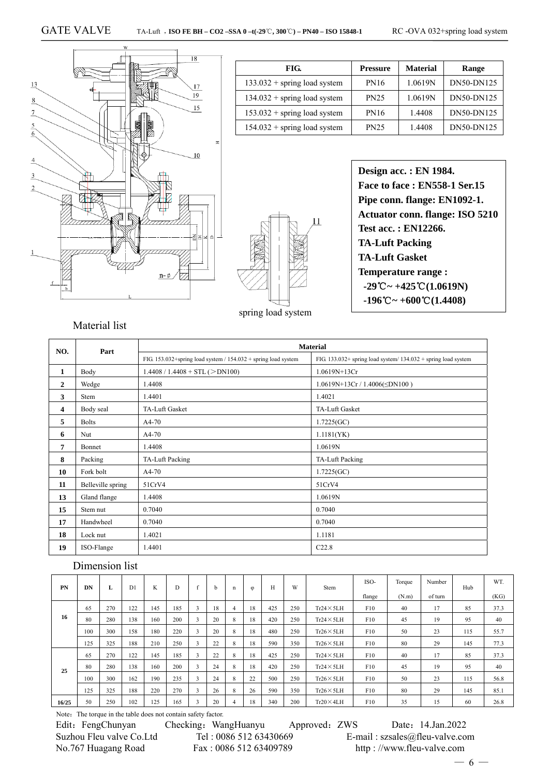

| FIG.                           | <b>Pressure</b> | <b>Material</b> | Range      |
|--------------------------------|-----------------|-----------------|------------|
| $133.032 +$ spring load system | PN16            | 1.0619N         | DN50-DN125 |
| $134.032 +$ spring load system | <b>PN25</b>     | 1.0619N         | DN50-DN125 |
| $153.032 +$ spring load system | <b>PN16</b>     | 1.4408          | DN50-DN125 |
| $154.032 +$ spring load system | <b>PN25</b>     | 1.4408          | DN50-DN125 |



 $11$ 

spring load system

**Design acc. : EN 1984. Face to face : EN558-1 Ser.15 Pipe conn. flange: EN1092-1. Actuator conn. flange: ISO 5210 Test acc. : EN12266. TA-Luft Packing TA-Luft Gasket Temperature range : -29℃ ~ +425℃ (1.0619N)**  $-196^{\circ}\text{C} \sim +600^{\circ}\text{C} (1.4408)$ 

### Material list

| NO.            | Part              | <b>Material</b>                                                     |                                                                   |  |  |  |  |  |  |  |  |
|----------------|-------------------|---------------------------------------------------------------------|-------------------------------------------------------------------|--|--|--|--|--|--|--|--|
|                |                   | FIG. $153.032$ +spring load system / $154.032$ + spring load system | FIG. $133.032+$ spring load system/ $134.032+$ spring load system |  |  |  |  |  |  |  |  |
| 1              | Body              | $1.4408 / 1.4408 + STL (>DN100)$                                    | $1.0619N+13Cr$                                                    |  |  |  |  |  |  |  |  |
| $\overline{2}$ | Wedge             | 1.4408                                                              | $1.0619N+13Cr/1.4006(5N100)$                                      |  |  |  |  |  |  |  |  |
| 3              | <b>Stem</b>       | 1.4401                                                              | 1.4021                                                            |  |  |  |  |  |  |  |  |
| 4              | Body seal         | <b>TA-Luft Gasket</b>                                               | <b>TA-Luft Gasket</b>                                             |  |  |  |  |  |  |  |  |
| 5              | <b>Bolts</b>      | $A4-70$                                                             | 1.7225(GC)                                                        |  |  |  |  |  |  |  |  |
| 6              | Nut               | $A4-70$                                                             | 1.1181(YK)                                                        |  |  |  |  |  |  |  |  |
| 7              | Bonnet            | 1.4408                                                              | 1.0619N                                                           |  |  |  |  |  |  |  |  |
| 8              | Packing           | TA-Luft Packing                                                     | TA-Luft Packing                                                   |  |  |  |  |  |  |  |  |
| 10             | Fork bolt         | $A4-70$                                                             | 1.7225(GC)                                                        |  |  |  |  |  |  |  |  |
| 11             | Belleville spring | 51CrV4                                                              | 51CrV4                                                            |  |  |  |  |  |  |  |  |
| 13             | Gland flange      | 1.4408                                                              | 1.0619N                                                           |  |  |  |  |  |  |  |  |
| 15             | Stem nut          | 0.7040                                                              | 0.7040                                                            |  |  |  |  |  |  |  |  |
| 17             | Handwheel         | 0.7040                                                              | 0.7040                                                            |  |  |  |  |  |  |  |  |
| 18             | Lock nut          | 1.4021                                                              | 1.1181                                                            |  |  |  |  |  |  |  |  |
| 19             | ISO-Flange        | 1.4401                                                              | C22.8                                                             |  |  |  |  |  |  |  |  |

#### Dimension list

| <b>PN</b> | DN  | L   | D <sub>1</sub> | K   | D   |                         | b  | n | $\varphi$ | Н   | W   | Stem              | ISO-   | Torque | Number  | Hub | WT.  |
|-----------|-----|-----|----------------|-----|-----|-------------------------|----|---|-----------|-----|-----|-------------------|--------|--------|---------|-----|------|
|           |     |     |                |     |     |                         |    |   |           |     |     |                   | flange | (N.m)  | of turn |     | (KG) |
|           | 65  | 270 | 122            | 145 | 185 | 3                       | 18 | 4 | 18        | 425 | 250 | $Tr24 \times 5LH$ | F10    | 40     | 17      | 85  | 37.3 |
| 16        | 80  | 280 | 138            | 160 | 200 | $\sim$<br>$\rightarrow$ | 20 | 8 | 18        | 420 | 250 | $Tr24 \times 5LH$ | F10    | 45     | 19      | 95  | 40   |
|           | 100 | 300 | 158            | 180 | 220 | 3                       | 20 | 8 | 18        | 480 | 250 | $Tr26 \times 5LH$ | F10    | 50     | 23      | 115 | 55.7 |
|           | 125 | 325 | 188            | 210 | 250 | 3                       | 22 | 8 | 18        | 590 | 350 | $Tr26 \times 5LH$ | F10    | 80     | 29      | 145 | 77.3 |
|           | 65  | 270 | 122            | 145 | 185 | $\mathbf{3}$            | 22 | 8 | 18        | 425 | 250 | $Tr24 \times 5LH$ | F10    | 40     | 17      | 85  | 37.3 |
| 25        | 80  | 280 | 138            | 160 | 200 | 3                       | 24 | 8 | 18        | 420 | 250 | $Tr24 \times 5LH$ | F10    | 45     | 19      | 95  | 40   |
|           | 100 | 300 | 162            | 190 | 235 | $\sim$<br>$\rightarrow$ | 24 | 8 | 22        | 500 | 250 | $Tr26 \times 5LH$ | F10    | 50     | 23      | 115 | 56.8 |
|           | 125 | 325 | 188            | 220 | 270 | 3                       | 26 | 8 | 26        | 590 | 350 | $Tr26 \times 5LH$ | F10    | 80     | 29      | 145 | 85.1 |
| 16/25     | 50  | 250 | 102            | 125 | 165 | 3                       | 20 | 4 | 18        | 340 | 200 | $Tr20 \times 4LH$ | F10    | 35     | 15      | 60  | 26.8 |

Note: The torque in the table does not contain safety factor.

No.767 Huagang Road Fax : 0086 512 63409789 http : //www.fleu-valve.com

Edit: FengChunyan Checking: WangHuanyu Approved: ZWS Date: 14.Jan.2022 Suzhou Fleu valve Co.Ltd Tel : 0086 512 63430669 E-mail : szsales@fleu-valve.com

 $-6 -$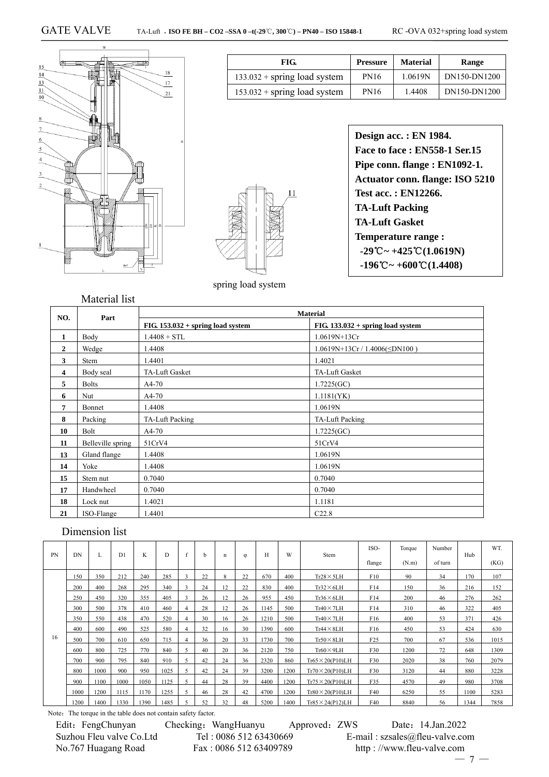

| FIG.                           | <b>Pressure</b> | <b>Material</b> | Range        |  |  |
|--------------------------------|-----------------|-----------------|--------------|--|--|
| $133.032 +$ spring load system | <b>PN16</b>     | 1.0619N         | DN150-DN1200 |  |  |
| $153.032 +$ spring load system | <b>PN16</b>     | 1.4408          | DN150-DN1200 |  |  |



spring load system

**Design acc. : EN 1984. Face to face : EN558-1 Ser.15 Pipe conn. flange : EN1092-1. Actuator conn. flange: ISO 5210 Test acc. : EN12266. TA-Luft Packing TA-Luft Gasket Temperature range : -29℃ ~ +425℃ (1.0619N) -196 ~ +** ℃ **600 (** ℃ **1.4408)** 

| NO.              | Part              |                                     | <b>Material</b>                     |
|------------------|-------------------|-------------------------------------|-------------------------------------|
|                  |                   | $FIG. 153.032 + spring load system$ | $FIG. 133.032 + spring load system$ |
| 1                | Body              | $1.4408 + STL$                      | 1.0619N+13Cr                        |
| $\boldsymbol{2}$ | Wedge             | .4408                               | $1.0619N+13Cr/1.4006(\leq DN100)$   |
| 3                | Stem              | 1.4401                              | 1.4021                              |
| 4                | Body seal         | TA-Luft Gasket                      | TA-Luft Gasket                      |
| 5                | <b>Bolts</b>      | $A4-70$                             | 1.7225(GC)                          |
| 6                | Nut               | $A4-70$                             | 1.1181(YK)                          |
| 7                | Bonnet            | 1.4408                              | 1.0619N                             |
| 8                | Packing           | TA-Luft Packing                     | TA-Luft Packing                     |
| 10               | Bolt              | $A4-70$                             | 1.7225(GC)                          |
| 11               | Belleville spring | 51CrV4                              | 51CrV4                              |
| 13               | Gland flange      | 1.4408                              | 1.0619N                             |
| 14               | Yoke              | 1.4408                              | 1.0619N                             |
| 15               | Stem nut          | 0.7040                              | 0.7040                              |
| 17               | Handwheel         | 0.7040                              | 0.7040                              |
| 18               | Lock nut          | 1.4021                              | 1.1181                              |
| 21               | ISO-Flange        | .4401                               | C22.8                               |

## Dimension list

| <b>PN</b> | DN   | L    | D <sub>1</sub> | K    | D    | h  | n  | $\Phi$ | H    | W    | Stem                     | ISO-            | Torque | Number  | Hub  | WT.  |
|-----------|------|------|----------------|------|------|----|----|--------|------|------|--------------------------|-----------------|--------|---------|------|------|
|           |      |      |                |      |      |    |    |        |      |      |                          | flange          | (N.m)  | of turn |      | (KG) |
|           | 150  | 350  | 212            | 240  | 285  | 22 | 8  | 22     | 670  | 400  | $Tr28 \times 5LH$        | F10             | 90     | 34      | 170  | 107  |
|           | 200  | 400  | 268            | 295  | 340  | 24 | 12 | 22     | 830  | 400  | $Tr32\times 6LH$         | F14             | 150    | 36      | 216  | 152  |
|           | 250  | 450  | 320            | 355  | 405  | 26 | 12 | 26     | 955  | 450  | $Tr36\times 6LH$         | F14             | 200    | 46      | 276  | 262  |
|           | 300  | 500  | 378            | 410  | 460  | 28 | 12 | 26     | 1145 | 500  | $Tr40 \times 7LH$        | F14             | 310    | 46      | 322  | 405  |
|           | 350  | 550  | 438            | 470  | 520  | 30 | 16 | 26     | 1210 | 500  | $Tr40 \times 7LH$        | F <sub>16</sub> | 400    | 53      | 371  | 426  |
|           | 400  | 600  | 490            | 525  | 580  | 32 | 16 | 30     | 1390 | 600  | $Tr44 \times 8LH$        | F16             | 450    | 53      | 424  | 630  |
| 16        | 500  | 700  | 610            | 650  | 715  | 36 | 20 | 33     | 1730 | 700  | $Tr50 \times 8LH$        | F25             | 700    | 67      | 536  | 1015 |
|           | 600  | 800  | 725            | 770  | 840  | 40 | 20 | 36     | 2120 | 750  | $Tr60 \times 9LH$        | F30             | 1200   | 72      | 648  | 1309 |
|           | 700  | 900  | 795            | 840  | 910  | 42 | 24 | 36     | 2320 | 860  | $Tr65 \times 20($ P10)LH | F30             | 2020   | 38      | 760  | 2079 |
|           | 800  | 1000 | 900            | 950  | 1025 | 42 | 24 | 39     | 3200 | 1200 | $Tr70 \times 20($ P10)LH | F30             | 3120   | 44      | 880  | 3228 |
|           | 900  | 1100 | 1000           | 1050 | 1125 | 44 | 28 | 39     | 4400 | 1200 | $Tr75 \times 20$ (P10)LH | F35             | 4570   | 49      | 980  | 3708 |
|           | 1000 | 1200 | 1115           | 1170 | 1255 | 46 | 28 | 42     | 4700 | 1200 | $Tr80 \times 20($ P10)LH | F40             | 6250   | 55      | 1100 | 5283 |
|           | 1200 | 1400 | 1330           | 1390 | 1485 | 52 | 32 | 48     | 5200 | 1400 | $Tr85 \times 24$ (P12)LH | F40             | 8840   | 56      | 1344 | 7858 |

Note: The torque in the table does not contain safety factor.

Edit: FengChunyan Checking: WangHuanyu Approved: ZWS Date: 14.Jan.2022 Suzhou Fleu valve Co.Ltd Tel : 0086 512 63430669 E-mail : szsales@fleu-valve.com No.767 Huagang Road Fax : 0086 512 63409789 http : //www.fleu-valve.com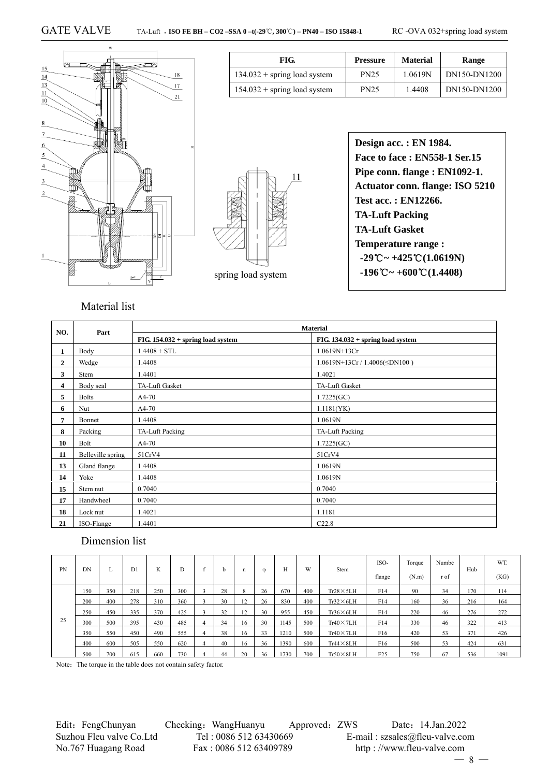

| FIG.                           | <b>Pressure</b> | <b>Material</b> | Range        |  |  |
|--------------------------------|-----------------|-----------------|--------------|--|--|
| $134.032 +$ spring load system | <b>PN25</b>     | 1.0619N         | DN150-DN1200 |  |  |
| $154.032 +$ spring load system | <b>PN25</b>     | 1.4408          | DN150-DN1200 |  |  |



**Design acc. : EN 1984. Face to face : EN558-1 Ser.15 Pipe conn. flange : EN1092-1. Actuator conn. flange: ISO 5210 Test acc. : EN12266. TA-Luft Packing TA-Luft Gasket Temperature range :**  $-29^{\circ}\text{C} \sim +425^{\circ}\text{C} (1.0619\text{N})$  $-196^{\circ}\text{C} \sim +600^{\circ}\text{C} (1.4408)$ 

## Material list

| NO.            | Part              |                                     | <b>Material</b>                      |
|----------------|-------------------|-------------------------------------|--------------------------------------|
|                |                   | $FIG. 154.032 + spring load system$ | $FIG. 134.032 + spring load system$  |
| $\mathbf{1}$   | Body              | $1.4408 + STL$                      | 1.0619N+13Cr                         |
| $\overline{2}$ | Wedge             | 1.4408                              | 1.0619N+13Cr / 1.4006( $\leq$ DN100) |
| 3              | Stem              | 1.4401                              | 1.4021                               |
| 4              | Body seal         | TA-Luft Gasket                      | TA-Luft Gasket                       |
| 5              | <b>Bolts</b>      | $A4-70$                             | 1.7225(GC)                           |
| 6              | Nut               | A4-70                               | 1.1181(YK)                           |
| 7              | Bonnet            | 1.4408                              | 1.0619N                              |
| 8              | Packing           | TA-Luft Packing                     | TA-Luft Packing                      |
| 10             | Bolt              | $A4-70$                             | 1.7225(GC)                           |
| 11             | Belleville spring | 51CrV4                              | 51CrV4                               |
| 13             | Gland flange      | 1.4408                              | 1.0619N                              |
| 14             | Yoke              | 1.4408                              | 1.0619N                              |
| 15             | Stem nut          | 0.7040                              | 0.7040                               |
| 17             | Handwheel         | 0.7040                              | 0.7040                               |
| 18             | Lock nut          | 1.4021                              | 1.1181                               |
| 21             | ISO-Flange        | 1.4401                              | C22.8                                |

### Dimension list

| <b>PN</b> | DN  |     | D <sub>1</sub> | ĸ   |     | c              | h  |    | $\omega$ | п    | W   | <b>Stem</b>       | ISO-<br>flange  | Torque<br>(N.m) | Numbe<br>r of | Hub | WT.<br>(KG) |
|-----------|-----|-----|----------------|-----|-----|----------------|----|----|----------|------|-----|-------------------|-----------------|-----------------|---------------|-----|-------------|
|           | 150 | 350 | 218            | 250 | 300 |                | 28 |    | 26       | 670  | 400 | $Tr28 \times 5LH$ | F14             | 90              | 34            | 170 | 114         |
|           | 200 | 400 | 278            | 310 | 360 |                | 30 | 12 | 26       | 830  | 400 | $Tr32\times 6LH$  | F14             | 160             | 36            | 216 | 164         |
|           | 250 | 450 | 335            | 370 | 425 |                | 32 | 12 | 30       | 955  | 450 | $Tr36\times 6LH$  | F14             | 220             | 46            | 276 | 272         |
| 25        | 300 | 500 | 395            | 430 | 485 | 4              | 34 | 16 | 30       | 1145 | 500 | $Tr40 \times 7LH$ | F14             | 330             | 46            | 322 | 413         |
|           | 350 | 550 | 450            | 490 | 555 | 4              | 38 | 16 | 33       | 1210 | 500 | $Tr40 \times 7LH$ | F16             | 420             | 53            | 371 | 426         |
|           | 400 | 600 | 505            | 550 | 620 | $\overline{4}$ | 40 | 16 | 36       | 1390 | 600 | $Tr44 \times 8LH$ | F <sub>16</sub> | 500             | 53            | 424 | 631         |
|           | 500 | 700 | 615            | 660 | 730 |                | 44 | 20 | 36       | 1730 | 700 | $Tr50 \times 8LH$ | F25             | 750             | 67            | 536 | 1091        |

Note: The torque in the table does not contain safety factor.

Edit: FengChunyan Checking: WangHuanyu Approved: ZWS Date: 14.Jan.2022 Suzhou Fleu valve Co.Ltd Tel : 0086 512 63430669 E-mail : szsales@fleu-valve.com No.767 Huagang Road Fax : 0086 512 63409789 http : //www.fleu-valve.com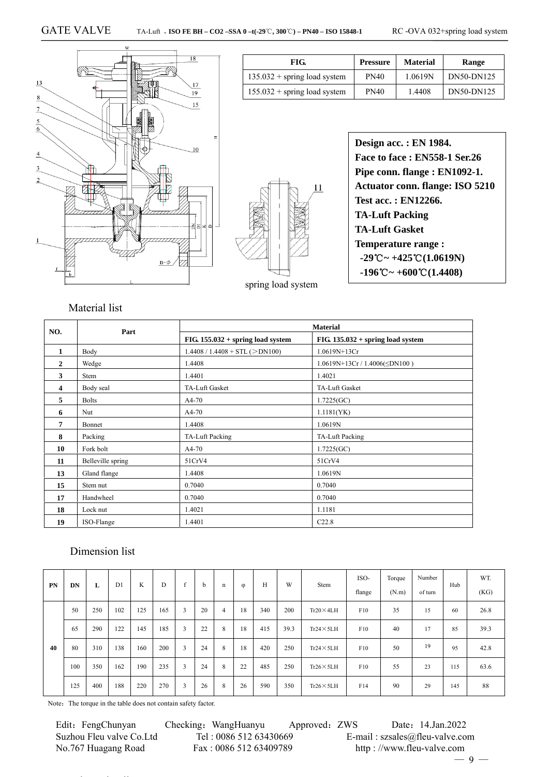

| FIG.                           | <b>Pressure</b> | <b>Material</b> | Range      |
|--------------------------------|-----------------|-----------------|------------|
| $135.032 +$ spring load system | <b>PN40</b>     | 1.0619N         | DN50-DN125 |
| $155.032 +$ spring load system | <b>PN40</b>     | 1.4408          | DN50-DN125 |



| Design acc. : EN 1984.                                           |
|------------------------------------------------------------------|
| Face to face: EN558-1 Ser.26                                     |
| Pipe conn. flange : EN1092-1.                                    |
| <b>Actuator conn. flange: ISO 5210</b>                           |
| Test acc.: EN12266.                                              |
| <b>TA-Luft Packing</b>                                           |
| <b>TA-Luft Gasket</b>                                            |
| <b>Temperature range:</b>                                        |
| $-29^{\circ}\text{C} \sim +425^{\circ}\text{C} (1.0619\text{N})$ |
| $-196^{\circ}\text{C} \sim +600^{\circ}\text{C} (1.4408)$        |
|                                                                  |

| NO.          | Part              |                                     | <b>Material</b>                     |
|--------------|-------------------|-------------------------------------|-------------------------------------|
|              |                   | $FIG. 155.032 + spring load system$ | $FIG. 135.032 + spring load system$ |
| $\mathbf{1}$ | Body              | $1.4408 / 1.4408 + STL (>DN100)$    | 1.0619N+13Cr                        |
| 2            | Wedge             | 1.4408                              | $1.0619N+13Cr/1.4006(\leq DN100)$   |
| 3            | Stem              | 1.4401                              | 1.4021                              |
| 4            | Body seal         | <b>TA-Luft Gasket</b>               | <b>TA-Luft Gasket</b>               |
| 5            | <b>Bolts</b>      | A4-70                               | 1.7225(GC)                          |
| 6            | Nut               | $A4-70$                             | 1.1181(YK)                          |
| 7            | Bonnet            | 1.4408                              | 1.0619N                             |
| 8            | Packing           | TA-Luft Packing                     | TA-Luft Packing                     |
| 10           | Fork bolt         | A4-70                               | 1.7225(GC)                          |
| 11           | Belleville spring | 51CrV4                              | 51CrV4                              |
| 13           | Gland flange      | 1.4408                              | 1.0619N                             |
| 15           | Stem nut          | 0.7040                              | 0.7040                              |
| 17           | Handwheel         | 0.7040                              | 0.7040                              |
| 18           | Lock nut          | 1.4021                              | 1.1181                              |
| 19           | ISO-Flange        | 1.4401                              | C22.8                               |

## Dimension list

| PN | DN  | L   | D <sub>1</sub> | K   | D   | $\epsilon$ | b  | n | $\varphi$ | Н   | W    | Stem              | ISO-<br>flange | Torque<br>(N.m) | Number<br>of turn | Hub | WT.<br>(KG) |
|----|-----|-----|----------------|-----|-----|------------|----|---|-----------|-----|------|-------------------|----------------|-----------------|-------------------|-----|-------------|
|    | 50  | 250 | 102            | 125 | 165 | 3          | 20 | 4 | 18        | 340 | 200  | $Tr20 \times 4LH$ | F10            | 35              | 15                | -60 | 26.8        |
|    | 65  | 290 | 122            | 145 | 185 | 3          | 22 | 8 | 18        | 415 | 39.3 | $Tr24 \times 5LH$ | F10            | 40              | 17                | 85  | 39.3        |
| 40 | 80  | 310 | 138            | 160 | 200 | 3          | 24 | 8 | 18        | 420 | 250  | $Tr24 \times 5LH$ | F10            | 50              | 19                | 95  | 42.8        |
|    | 100 | 350 | 162            | 190 | 235 | 3          | 24 | 8 | 22        | 485 | 250  | $Tr26 \times 5LH$ | F10            | 55              | 23                | 115 | 63.6        |
|    | 125 | 400 | 188            | 220 | 270 | 3          | 26 | 8 | 26        | 590 | 350  | $Tr26 \times 5LH$ | F14            | 90              | 29                | 145 | 88          |

Note: The torque in the table does not contain safety factor.

 Edit:FengChunyan Checking:WangHuanyu Approved:ZWS Date:14.Jan.2022 Suzhou Fleu valve Co.Ltd Tel : 0086 512 63430669 E-mail : szsales@fleu-valve.com<br>No.767 Huagang Road Fax : 0086 512 63409789 http : //www.fleu-valve.com No.767 Huagang Road Fax : 0086 512 63409789 http : //www.fleu-valve.com

— 9 —